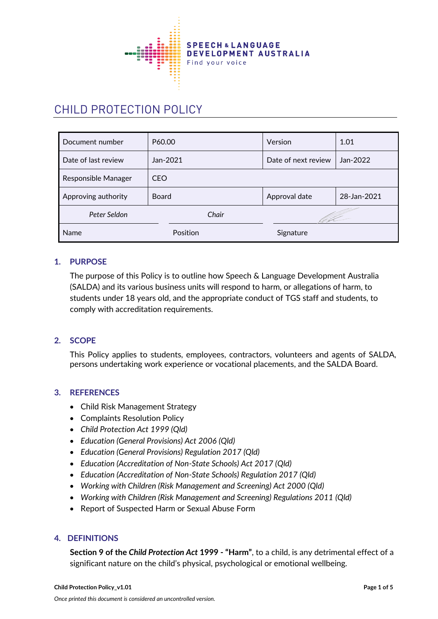

# CHILD PROTECTION POLICY

| Document number     | P60.00       | Version             | 1.01        |
|---------------------|--------------|---------------------|-------------|
| Date of last review | Jan-2021     | Date of next review | Jan-2022    |
| Responsible Manager | <b>CEO</b>   |                     |             |
| Approving authority | <b>Board</b> | Approval date       | 28-Jan-2021 |
| Peter Seldon        | Chair        |                     |             |
| <b>Name</b>         | Position     | Signature           |             |

## **1. PURPOSE**

The purpose of this Policy is to outline how Speech & Language Development Australia (SALDA) and its various business units will respond to harm, or allegations of harm, to students under 18 years old, and the appropriate conduct of TGS staff and students, to comply with accreditation requirements.

## **2. SCOPE**

This Policy applies to students, employees, contractors, volunteers and agents of SALDA, persons undertaking work experience or vocational placements, and the SALDA Board.

#### **3. REFERENCES**

- Child Risk Management Strategy
- Complaints Resolution Policy
- *Child Protection Act 1999 (Qld)*
- *Education (General Provisions) Act 2006 (Qld)*
- *Education (General Provisions) Regulation 2017 (Qld)*
- *Education (Accreditation of Non-State Schools) Act 2017 (Qld)*
- *Education (Accreditation of Non-State Schools) Regulation 2017 (Qld)*
- *Working with Children (Risk Management and Screening) Act 2000 (Qld)*
- *Working with Children (Risk Management and Screening) Regulations 2011 (Qld)*
- Report of Suspected Harm or Sexual Abuse Form

#### **4. DEFINITIONS**

**Section 9 of the** *Child Protection Act* **1999 - "Harm"**, to a child, is any detrimental effect of a significant nature on the child's physical, psychological or emotional wellbeing.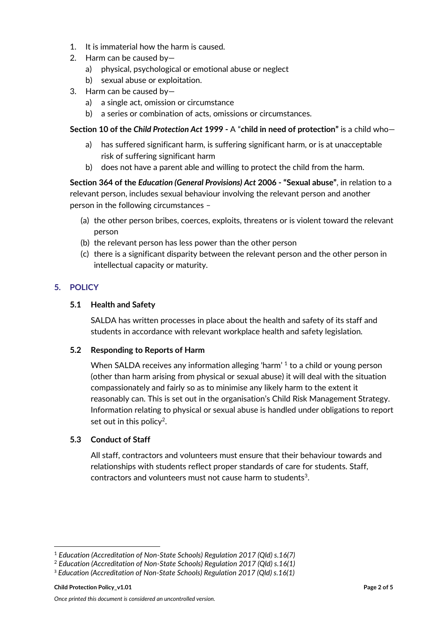- 1. It is immaterial how the harm is caused.
- 2. Harm can be caused by
	- a) physical, psychological or emotional abuse or neglect
	- b) sexual abuse or exploitation.
- 3. Harm can be caused by
	- a) a single act, omission or circumstance
	- b) a series or combination of acts, omissions or circumstances.

## **Section 10 of the** *Child Protection Act* **1999 -** A "**child in need of protection"** is a child who—

- a) has suffered significant harm, is suffering significant harm, or is at unacceptable risk of suffering significant harm
- b) does not have a parent able and willing to protect the child from the harm.

**Section 364 of the** *Education (General Provisions) Act* **2006 - "Sexual abuse"**, in relation to a relevant person, includes sexual behaviour involving the relevant person and another person in the following circumstances –

- (a) the other person bribes, coerces, exploits, threatens or is violent toward the relevant person
- (b) the relevant person has less power than the other person
- (c) there is a significant disparity between the relevant person and the other person in intellectual capacity or maturity.

# **5. POLICY**

## **5.1 Health and Safety**

SALDA has written processes in place about the health and safety of its staff and students in accordance with relevant workplace health and safety legislation.

## **5.2 Responding to Reports of Harm**

When SALDA receives any information alleging 'harm' 1 to a child or young person (other than harm arising from physical or sexual abuse) it will deal with the situation compassionately and fairly so as to minimise any likely harm to the extent it reasonably can. This is set out in the organisation's Child Risk Management Strategy. Information relating to physical or sexual abuse is handled under obligations to report set out in this policy<sup>2</sup>.

# **5.3 Conduct of Staff**

All staff, contractors and volunteers must ensure that their behaviour towards and relationships with students reflect proper standards of care for students. Staff, contractors and volunteers must not cause harm to students<sup>3</sup>.

<sup>1</sup> *Education (Accreditation of Non-State Schools) Regulation 2017 (Qld) s.16(7)*

<sup>2</sup> *Education (Accreditation of Non-State Schools) Regulation 2017 (Qld) s.16(1)*

<sup>3</sup> *Education (Accreditation of Non-State Schools) Regulation 2017 (Qld) s.16(1)*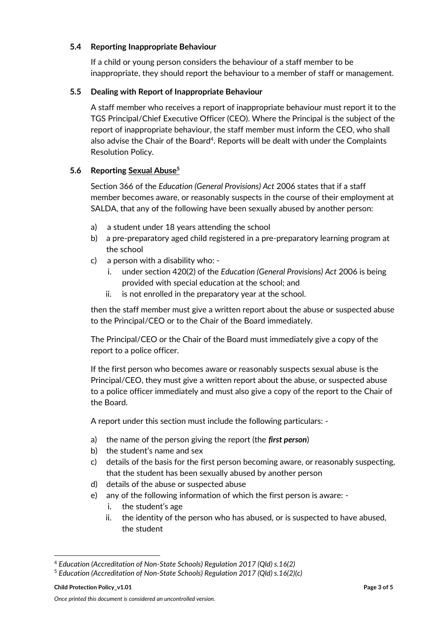#### **5.4 Reporting Inappropriate Behaviour**

If a child or young person considers the behaviour of a staff member to be inappropriate, they should report the behaviour to a member of staff or management.

#### **5.5 Dealing with Report of Inappropriate Behaviour**

A staff member who receives a report of inappropriate behaviour must report it to the TGS Principal/Chief Executive Officer (CEO). Where the Principal is the subject of the report of inappropriate behaviour, the staff member must inform the CEO, who shall also advise the Chair of the Board<sup>4</sup>. Reports will be dealt with under the Complaints Resolution Policy.

## **5.6 Reporting Sexual Abuse<sup>5</sup>**

Section 366 of the *Education (General Provisions) Act* 2006 states that if a staff member becomes aware, or reasonably suspects in the course of their employment at SALDA, that any of the following have been sexually abused by another person:

- a) a student under 18 years attending the school
- b) a pre-preparatory aged child registered in a pre-preparatory learning program at the school
- c) a person with a disability who:
	- i. under section 420(2) of the *Education (General Provisions) Act* 2006 is being provided with special education at the school; and
	- ii. is not enrolled in the preparatory year at the school.

then the staff member must give a written report about the abuse or suspected abuse to the Principal/CEO or to the Chair of the Board immediately.

The Principal/CEO or the Chair of the Board must immediately give a copy of the report to a police officer.

If the first person who becomes aware or reasonably suspects sexual abuse is the Principal/CEO, they must give a written report about the abuse, or suspected abuse to a police officer immediately and must also give a copy of the report to the Chair of the Board.

A report under this section must include the following particulars: -

- a) the name of the person giving the report (the *first person*)
- b) the student's name and sex
- c) details of the basis for the first person becoming aware, or reasonably suspecting, that the student has been sexually abused by another person
- d) details of the abuse or suspected abuse
- e) any of the following information of which the first person is aware:
	- i. the student's age
	- ii. the identity of the person who has abused, or is suspected to have abused, the student

<sup>4</sup> *Education (Accreditation of Non-State Schools) Regulation 2017 (Qld) s.16(2)*

<sup>5</sup> *Education (Accreditation of Non-State Schools) Regulation 2017 (Qld) s.16(2)(c)*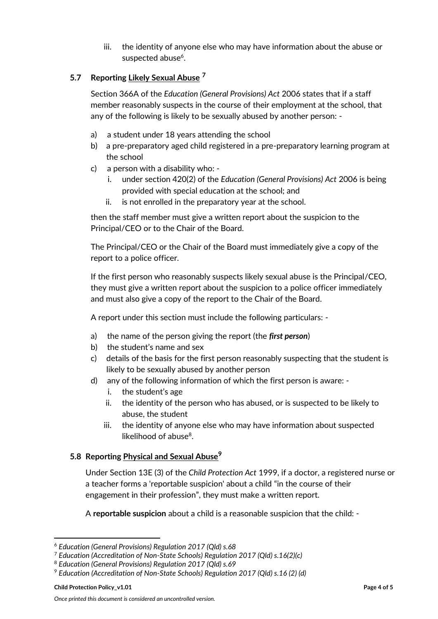iii. the identity of anyone else who may have information about the abuse or suspected abuse<sup>6</sup>.

# **5.7 Reporting Likely Sexual Abuse <sup>7</sup>**

Section 366A of the *Education (General Provisions) Act* 2006 states that if a staff member reasonably suspects in the course of their employment at the school, that any of the following is likely to be sexually abused by another person: -

- a) a student under 18 years attending the school
- b) a pre-preparatory aged child registered in a pre-preparatory learning program at the school
- c) a person with a disability who:
	- i. under section 420(2) of the *Education (General Provisions) Act* 2006 is being provided with special education at the school; and
	- ii. is not enrolled in the preparatory year at the school.

then the staff member must give a written report about the suspicion to the Principal/CEO or to the Chair of the Board.

The Principal/CEO or the Chair of the Board must immediately give a copy of the report to a police officer.

If the first person who reasonably suspects likely sexual abuse is the Principal/CEO, they must give a written report about the suspicion to a police officer immediately and must also give a copy of the report to the Chair of the Board.

A report under this section must include the following particulars: -

- a) the name of the person giving the report (the *first person*)
- b) the student's name and sex
- c) details of the basis for the first person reasonably suspecting that the student is likely to be sexually abused by another person
- d) any of the following information of which the first person is aware:
	- i. the student's age
	- ii. the identity of the person who has abused, or is suspected to be likely to abuse, the student
	- iii. the identity of anyone else who may have information about suspected likelihood of abuse<sup>8</sup>.

## **5.8 Reporting Physical and Sexual Abuse<sup>9</sup>**

Under Section 13E (3) of the *Child Protection Act* 1999, if a doctor, a registered nurse or a teacher forms a 'reportable suspicion' about a child "in the course of their engagement in their profession", they must make a written report.

A **reportable suspicion** about a child is a reasonable suspicion that the child: -

<sup>6</sup> *Education (General Provisions) Regulation 2017 (Qld) s.68*

<sup>7</sup> *Education (Accreditation of Non-State Schools) Regulation 2017 (Qld) s.16(2)(c)*

<sup>8</sup> *Education (General Provisions) Regulation 2017 (Qld) s.69*

<sup>9</sup> *Education (Accreditation of Non-State Schools) Regulation 2017 (Qld) s.16 (2) (d)*